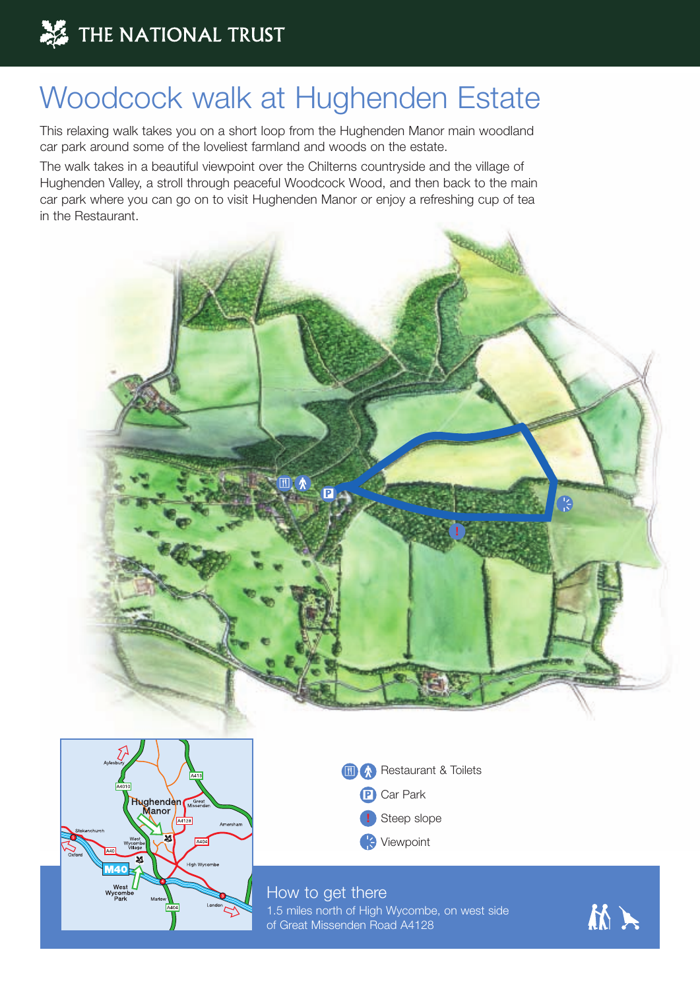## Woodcock walk at Hughenden Estate

This relaxing walk takes you on a short loop from the Hughenden Manor main woodland car park around some of the loveliest farmland and woods on the estate.

The walk takes in a beautiful viewpoint over the Chilterns countryside and the village of Hughenden Valley, a stroll through peaceful Woodcock Wood, and then back to the main car park where you can go on to visit Hughenden Manor or enjoy a refreshing cup of tea in the Restaurant.







## How to get there

1.5 miles north of High Wycombe, on west side of Great Missenden Road A4128